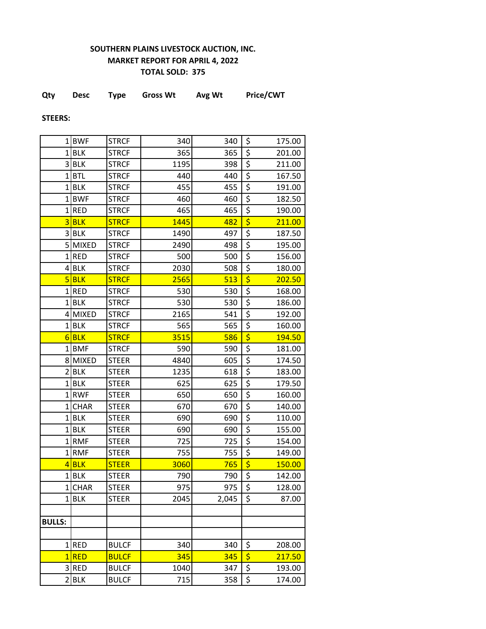## **SOUTHERN PLAINS LIVESTOCK AUCTION, INC. MARKET REPORT FOR APRIL 4, 2022 TOTAL SOLD: 375**

|  | Qty | Desc | Type | <b>Gross Wt</b> | Avg Wt | Price/CWT |
|--|-----|------|------|-----------------|--------|-----------|
|--|-----|------|------|-----------------|--------|-----------|

**STEERS:**

|                         | 1BWF         | <b>STRCF</b> | 340  | 340   | \$                                  | 175.00        |
|-------------------------|--------------|--------------|------|-------|-------------------------------------|---------------|
|                         | $1$ BLK      | <b>STRCF</b> | 365  | 365   | \$                                  | 201.00        |
| $\overline{\mathbf{3}}$ | <b>BLK</b>   | <b>STRCF</b> | 1195 | 398   | \$                                  | 211.00        |
| 1                       | <b>BTL</b>   | <b>STRCF</b> | 440  | 440   | \$                                  | 167.50        |
| $1\vert$                | <b>BLK</b>   | <b>STRCF</b> | 455  | 455   | \$                                  | 191.00        |
| 1                       | <b>BWF</b>   | <b>STRCF</b> | 460  | 460   | \$                                  | 182.50        |
| $\mathbf{1}$            | <b>RED</b>   | <b>STRCF</b> | 465  | 465   | \$                                  | 190.00        |
| $\overline{3}$          | <b>BLK</b>   | <b>STRCF</b> | 1445 | 482   | \$                                  | 211.00        |
|                         | 3BLK         | <b>STRCF</b> | 1490 | 497   | \$                                  | 187.50        |
| $\overline{5}$          | <b>MIXED</b> | <b>STRCF</b> | 2490 | 498   | \$                                  | 195.00        |
| 1                       | <b>RED</b>   | <b>STRCF</b> | 500  | 500   | \$                                  | 156.00        |
| 4                       | <b>BLK</b>   | <b>STRCF</b> | 2030 | 508   | $\overline{\boldsymbol{\zeta}}$     | 180.00        |
| 5                       | <b>BLK</b>   | <b>STRCF</b> | 2565 | 513   | \$                                  | 202.50        |
|                         | 1RED         | <b>STRCF</b> | 530  | 530   | \$                                  | 168.00        |
| 1                       | <b>BLK</b>   | <b>STRCF</b> | 530  | 530   | \$                                  | 186.00        |
| 4                       | <b>MIXED</b> | <b>STRCF</b> | 2165 | 541   | \$                                  | 192.00        |
| 1                       | <b>BLK</b>   | <b>STRCF</b> | 565  | 565   | \$                                  | 160.00        |
| 6                       | <b>BLK</b>   | <b>STRCF</b> | 3515 | 586   | $\overline{\boldsymbol{\varsigma}}$ | <b>194.50</b> |
| $1\vert$                | <b>BMF</b>   | <b>STRCF</b> | 590  | 590   | $\overline{\boldsymbol{\zeta}}$     | 181.00        |
|                         | 8 MIXED      | <b>STEER</b> | 4840 | 605   | \$                                  | 174.50        |
| 2                       | <b>BLK</b>   | <b>STEER</b> | 1235 | 618   | $\overline{\xi}$                    | 183.00        |
| $\mathbf{1}$            | <b>BLK</b>   | <b>STEER</b> | 625  | 625   | \$                                  | 179.50        |
| 11                      | <b>RWF</b>   | <b>STEER</b> | 650  | 650   | \$                                  | 160.00        |
| 1                       | <b>CHAR</b>  | <b>STEER</b> | 670  | 670   | \$                                  | 140.00        |
| 1                       | <b>BLK</b>   | <b>STEER</b> | 690  | 690   | $\overline{\boldsymbol{\zeta}}$     | 110.00        |
| 1 <sup>1</sup>          | <b>BLK</b>   | <b>STEER</b> | 690  | 690   | $\overline{\boldsymbol{\zeta}}$     | 155.00        |
| $\mathbf{1}$            | <b>RMF</b>   | <b>STEER</b> | 725  | 725   | \$                                  | 154.00        |
| $1\vert$                | <b>RMF</b>   | <b>STEER</b> | 755  | 755   | \$                                  | 149.00        |
|                         | $4$ BLK      | <b>STEER</b> | 3060 | 765   | \$                                  | 150.00        |
| 1                       | <b>BLK</b>   | <b>STEER</b> | 790  | 790   | \$                                  | 142.00        |
|                         | 1 CHAR       | <b>STEER</b> | 975  | 975   | \$                                  | 128.00        |
| 1 <sup>1</sup>          | <b>BLK</b>   | <b>STEER</b> | 2045 | 2,045 | \$                                  | 87.00         |
|                         |              |              |      |       |                                     |               |
| <b>BULLS:</b>           |              |              |      |       |                                     |               |
|                         |              |              |      |       |                                     |               |
|                         | $1$ RED      | <b>BULCF</b> | 340  | 340   | \$                                  | 208.00        |
|                         | 1RED         | <b>BULCF</b> | 345  | 345   | $\overline{\boldsymbol{\zeta}}$     | 217.50        |
|                         | 3RED         | <b>BULCF</b> | 1040 | 347   | \$                                  | 193.00        |
|                         | $2$ $BLK$    | <b>BULCF</b> | 715  | 358   | \$                                  | 174.00        |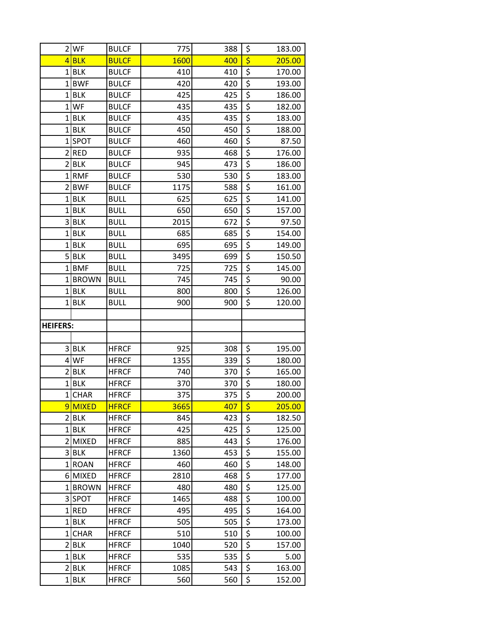|                     | $2$ WF                   | <b>BULCF</b>                 | 775         | 388        | \$                                    | 183.00           |
|---------------------|--------------------------|------------------------------|-------------|------------|---------------------------------------|------------------|
|                     | $4$ BLK                  | <b>BULCF</b>                 | 1600        | 400        | $\overline{\boldsymbol{\zeta}}$       | 205.00           |
| 1 <sup>1</sup>      | <b>BLK</b>               | <b>BULCF</b>                 | 410         | 410        | \$                                    | 170.00           |
| 1 <sup>1</sup>      | <b>BWF</b>               | <b>BULCF</b>                 | 420         | 420        | \$                                    | 193.00           |
| 1 <sup>1</sup>      | <b>BLK</b>               | <b>BULCF</b>                 | 425         | 425        | $\overline{\xi}$                      | 186.00           |
| 1 <sup>1</sup>      | WF                       | <b>BULCF</b>                 | 435         | 435        | \$                                    | 182.00           |
| $1\vert$            | <b>BLK</b>               | <b>BULCF</b>                 | 435         | 435        | $\overline{\xi}$                      | 183.00           |
| 1 <sup>1</sup>      | <b>BLK</b>               | <b>BULCF</b>                 | 450         | 450        | \$                                    | 188.00           |
| 1 <sup>1</sup>      | SPOT                     | <b>BULCF</b>                 | 460         | 460        | \$                                    | 87.50            |
| $\overline{2}$      | <b>RED</b>               | <b>BULCF</b>                 | 935         | 468        | $\overline{\xi}$                      | 176.00           |
| $\overline{2}$      | <b>BLK</b>               | <b>BULCF</b>                 | 945         | 473        | \$                                    | 186.00           |
| $1\vert$            | <b>RMF</b>               | <b>BULCF</b>                 | 530         | 530        | \$                                    | 183.00           |
| $\overline{2}$      | <b>BWF</b>               | <b>BULCF</b>                 | 1175        | 588        | $\overline{\xi}$                      | 161.00           |
| 1 <sup>1</sup>      | <b>BLK</b>               | <b>BULL</b>                  | 625         | 625        | \$                                    | 141.00           |
| 1                   | <b>BLK</b>               | <b>BULL</b>                  | 650         | 650        | \$                                    | 157.00           |
| $\overline{3}$      | <b>BLK</b>               | <b>BULL</b>                  | 2015        | 672        | \$                                    | 97.50            |
| 1 <sup>1</sup>      | <b>BLK</b>               | <b>BULL</b>                  | 685         | 685        | $\overline{\xi}$                      | 154.00           |
| $1\vert$            | <b>BLK</b>               | <b>BULL</b>                  | 695         | 695        | \$                                    | 149.00           |
| 5 <sup>1</sup>      | <b>BLK</b>               | <b>BULL</b>                  | 3495        | 699        | $\overline{\xi}$                      | 150.50           |
| 1                   | <b>BMF</b>               | <b>BULL</b>                  | 725         | 725        | \$                                    | 145.00           |
| 1 <sup>1</sup>      | <b>BROWN</b>             | <b>BULL</b>                  | 745         | 745        | \$                                    | 90.00            |
| 1 <sup>1</sup>      | <b>BLK</b>               | <b>BULL</b>                  | 800         | 800        | \$                                    | 126.00           |
| 1 <sup>1</sup>      | <b>BLK</b>               | <b>BULL</b>                  | 900         | 900        | \$                                    | 120.00           |
|                     |                          |                              |             |            |                                       |                  |
| <b>HEIFERS:</b>     |                          |                              |             |            |                                       |                  |
|                     |                          |                              |             |            |                                       |                  |
| $\overline{3}$      | <b>BLK</b>               | <b>HFRCF</b>                 | 925         | 308        | \$                                    | 195.00           |
| $\overline{4}$      | WF                       | <b>HFRCF</b>                 | 1355        | 339        | \$                                    | 180.00           |
| $\overline{2}$      | <b>BLK</b>               | <b>HFRCF</b>                 | 740         | 370        | $\overline{\xi}$                      | 165.00           |
| 1 <sup>1</sup>      | <b>BLK</b>               | <b>HFRCF</b>                 | 370         | 370        | \$                                    | 180.00           |
| $1\vert$            | <b>CHAR</b>              | <b>HFRCF</b>                 | 375         | 375        | $\overline{\xi}$                      | 200.00           |
|                     | 9MIXED                   | <b>HFRCF</b>                 | 3665        | 407        | \$                                    | 205.00           |
|                     | $2$ $BLK$                | <b>HFRCF</b>                 | 845         | 423        | \$                                    | 182.50           |
| 11                  | <b>BLK</b>               | <b>HFRCF</b>                 | 425         | 425        | \$                                    | 125.00           |
| 21                  | <b>MIXED</b>             | <b>HFRCF</b>                 | 885         | 443        | \$                                    | 176.00           |
| 3                   | <b>BLK</b>               | <b>HFRCF</b>                 | 1360        | 453        | \$                                    | 155.00           |
| 11                  | <b>ROAN</b>              | <b>HFRCF</b>                 | 460         | 460        | \$<br>$\overline{\boldsymbol{\zeta}}$ | 148.00           |
|                     | 6 MIXED                  | <b>HFRCF</b>                 | 2810        | 468        |                                       | 177.00           |
| $1\vert$            | <b>BROWN</b>             | <b>HFRCF</b>                 | 480         | 480        | \$<br>\$                              | 125.00           |
| 1 <sup>1</sup>      | 3 SPOT<br><b>RED</b>     | <b>HFRCF</b>                 | 1465<br>495 | 488        | \$                                    | 100.00           |
| 11                  | <b>BLK</b>               | <b>HFRCF</b>                 |             | 495        | \$                                    | 164.00           |
| $1\vert$            | <b>CHAR</b>              | <b>HFRCF</b><br><b>HFRCF</b> | 505<br>510  | 505<br>510 | $\overline{\xi}$                      | 173.00<br>100.00 |
| $\overline{2}$      | <b>BLK</b>               | <b>HFRCF</b>                 |             | 520        | \$                                    | 157.00           |
| 11                  | <b>BLK</b>               | <b>HFRCF</b>                 | 1040<br>535 | 535        | \$                                    | 5.00             |
|                     |                          |                              |             |            |                                       |                  |
|                     |                          |                              |             |            |                                       |                  |
| 2<br>1 <sup>1</sup> | <b>BLK</b><br><b>BLK</b> | <b>HFRCF</b><br><b>HFRCF</b> | 1085<br>560 | 543<br>560 | \$<br>\$                              | 163.00<br>152.00 |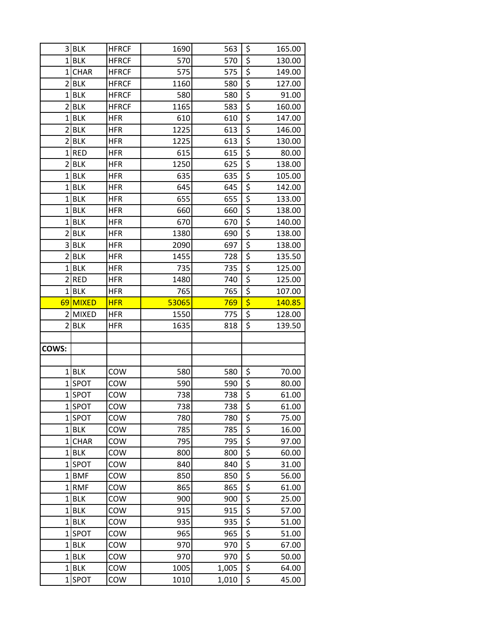| 3              | <b>BLK</b>       | <b>HFRCF</b> | 1690         | 563            | \$                              | 165.00         |
|----------------|------------------|--------------|--------------|----------------|---------------------------------|----------------|
|                | $1$ BLK          | <b>HFRCF</b> | 570          | 570            | \$                              | 130.00         |
|                | 1CHAR            | <b>HFRCF</b> | 575          | 575            | \$                              | 149.00         |
|                | $2$ $BLK$        | <b>HFRCF</b> | 1160         | 580            | \$                              | 127.00         |
| 1 <sup>1</sup> | <b>BLK</b>       | <b>HFRCF</b> | 580          | 580            | \$                              | 91.00          |
| 21             | <b>BLK</b>       | <b>HFRCF</b> | 1165         | 583            | \$                              | 160.00         |
|                | $1$ BLK          | <b>HFR</b>   | 610          | 610            | \$                              | 147.00         |
| $\overline{2}$ | <b>BLK</b>       | <b>HFR</b>   | 1225         | 613            | $\overline{\boldsymbol{\zeta}}$ | 146.00         |
|                | $2$ $BLK$        | <b>HFR</b>   | 1225         | 613            | \$                              | 130.00         |
|                | $1$ RED          | <b>HFR</b>   | 615          | 615            | \$                              | 80.00          |
|                | $2$ $BLK$        | <b>HFR</b>   | 1250         | 625            | \$                              | 138.00         |
| $1\vert$       | <b>BLK</b>       | <b>HFR</b>   | 635          | 635            | \$                              | 105.00         |
| $1\vert$       | <b>BLK</b>       | HFR          | 645          | 645            | \$                              | 142.00         |
|                | $1$ BLK          | <b>HFR</b>   | 655          | 655            | \$                              | 133.00         |
| $1\vert$       | <b>BLK</b>       | <b>HFR</b>   | 660          | 660            | \$                              | 138.00         |
|                | $1$ BLK          | <b>HFR</b>   | 670          | 670            | \$                              | 140.00         |
| $\overline{2}$ | <b>BLK</b>       | <b>HFR</b>   | 1380         | 690            | \$                              | 138.00         |
| 3              | <b>BLK</b>       | <b>HFR</b>   | 2090         | 697            | \$                              | 138.00         |
|                | $2$ $BLK$        | <b>HFR</b>   | 1455         | 728            | \$                              | 135.50         |
| 1              | <b>BLK</b>       | <b>HFR</b>   | 735          | 735            | \$                              | 125.00         |
| $\overline{2}$ | <b>RED</b>       | <b>HFR</b>   | 1480         | 740            | \$                              | 125.00         |
| $\mathbf{1}$   | <b>BLK</b>       | <b>HFR</b>   | 765          | 765            | \$                              | 107.00         |
|                | 69 MIXED         | <b>HFR</b>   | 53065        | 769            | \$                              | 140.85         |
|                | 2 MIXED          | <b>HFR</b>   | 1550         | 775            | $\overline{\boldsymbol{\zeta}}$ | 128.00         |
|                |                  |              |              |                |                                 |                |
| 21             | <b>BLK</b>       | HFR          | 1635         | 818            | \$                              | 139.50         |
|                |                  |              |              |                |                                 |                |
| COWS:          |                  |              |              |                |                                 |                |
|                |                  |              |              |                |                                 |                |
|                | $1$ BLK          | COW          | 580          | 580            | \$                              | 70.00          |
|                | 1SPOT            | COW          | 590          | 590            | \$                              | 80.00          |
|                | 1SPOT            | COW          | 738          | 738            | \$                              | 61.00          |
|                | 1SPOT            | COW          | 738          | 738            | \$                              | 61.00          |
|                | 1SPOT            | COW          | 780          | 780            | \$                              | 75.00          |
|                | $1$ BLK          | COW          | 785          | 785            | \$                              | 16.00          |
|                | 1 CHAR           | COW          | 795          | 795            | \$                              | 97.00          |
|                | $1$ BLK          | COW          | 800          | 800            | \$                              | 60.00          |
|                | 1SPOT            | COW          | 840          | 840            | \$                              | 31.00          |
|                | 1BMF             | COW          | 850          | 850            | $\overline{\boldsymbol{\zeta}}$ | 56.00          |
|                | 1RMF             | COW          | 865          | 865            | \$                              | 61.00          |
|                | $1$ BLK          | COW          | 900          | 900            | \$                              | 25.00          |
|                | $1$ BLK          | COW          | 915          | 915            | \$                              | 57.00          |
|                | $1$ BLK          | COW          | 935          | 935            | \$                              | 51.00          |
| $1\vert$       | <b>SPOT</b>      | COW          | 965          | 965            | \$                              | 51.00          |
|                | $1$ BLK          | COW          | 970          | 970            | \$                              | 67.00          |
|                | $1$ BLK          | COW          | 970          | 970            | $\overline{\boldsymbol{\zeta}}$ | 50.00          |
|                | $1$ BLK<br>1SPOT | COW<br>COW   | 1005<br>1010 | 1,005<br>1,010 | \$<br>\$                        | 64.00<br>45.00 |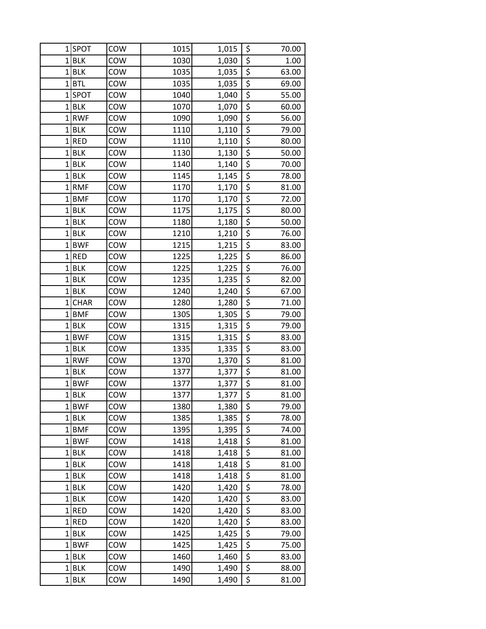| 11             | <b>SPOT</b>     | COW        | 1015         | 1,015          | \$                       | 70.00          |
|----------------|-----------------|------------|--------------|----------------|--------------------------|----------------|
|                | $1$ BLK         | COW        | 1030         | 1,030          | \$                       | 1.00           |
| 1 <sub>1</sub> | <b>BLK</b>      | COW        | 1035         | 1,035          | \$                       | 63.00          |
| $1\vert$       | <b>BTL</b>      | COW        | 1035         | 1,035          | \$                       | 69.00          |
| $\mathbf{1}$   | SPOT            | COW        | 1040         | 1,040          | $\overline{\xi}$         | 55.00          |
|                | $1$ BLK         | COW        | 1070         | 1,070          | \$                       | 60.00          |
|                | 1RWF            | COW        | 1090         | 1,090          | $\overline{\xi}$         | 56.00          |
| $1\vert$       | <b>BLK</b>      | COW        | 1110         | 1,110          | $\overline{\xi}$         | 79.00          |
| 1 <sup>1</sup> | <b>RED</b>      | COW        | 1110         | 1,110          | \$                       | 80.00          |
| $1\vert$       | <b>BLK</b>      | COW        | 1130         | 1,130          | \$                       | 50.00          |
|                | $1$ BLK         | COW        | 1140         | 1,140          | \$                       | 70.00          |
|                | $1$ BLK         | COW        | 1145         | 1,145          | $\overline{\xi}$         | 78.00          |
|                | 1RMF            | COW        | 1170         | 1,170          | $\overline{\xi}$         | 81.00          |
|                | $1$ <b>BMF</b>  | COW        | 1170         | 1,170          | $\overline{\xi}$         | 72.00          |
| $1\vert$       | <b>BLK</b>      | COW        | 1175         | 1,175          | \$                       | 80.00          |
|                | $1$ BLK         | COW        | 1180         | 1,180          | \$                       | 50.00          |
|                | $1$ BLK         | COW        | 1210         | 1,210          | \$                       | 76.00          |
|                | $1$ <b>BWF</b>  | COW        | 1215         | 1,215          | $\overline{\mathcal{L}}$ | 83.00          |
| $1\vert$       | <b>RED</b>      | COW        | 1225         | 1,225          | \$                       | 86.00          |
| 11             | <b>BLK</b>      | COW        | 1225         | 1,225          | \$                       | 76.00          |
|                | $1$ BLK         | COW        | 1235         | 1,235          | \$                       | 82.00          |
|                | $1$ BLK         | COW        | 1240         | 1,240          | \$                       | 67.00          |
| $1\vert$       | <b>CHAR</b>     | COW        | 1280         | 1,280          | \$                       | 71.00          |
|                | $1$ <b>BMF</b>  | COW        | 1305         | 1,305          | $\overline{\xi}$         | 79.00          |
|                | $1$ BLK         | COW        | 1315         | 1,315          | \$                       | 79.00          |
|                | 1BWF            | COW        | 1315         | 1,315          | $\overline{\mathcal{L}}$ | 83.00          |
| $1\vert$       | <b>BLK</b>      | COW        | 1335         | 1,335          | \$                       | 83.00          |
| 1 <sup>1</sup> | <b>RWF</b>      | COW        | 1370         | 1,370          | \$                       | 81.00          |
| $1\vert$       | <b>BLK</b>      | COW        | 1377         | 1,377          | \$                       | 81.00          |
|                | 1BWF            | COW        | 1377         | 1,377          | \$                       | 81.00          |
|                | $1$ BLK         | COW        | 1377         | 1,377          | \$                       | 81.00          |
|                | 1BWF            | COW        | 1380         | 1,380          | \$                       | 79.00          |
|                | $1$ BLK         | COW        | 1385         | 1,385          | \$                       | 78.00          |
|                | 1BMF            | COW        | 1395         | 1,395          | \$                       | 74.00          |
|                | 1BWF<br>$1$ BLK | COW        | 1418         | 1,418          | \$<br>\$                 | 81.00          |
|                | $1$ BLK         | COW<br>COW | 1418<br>1418 | 1,418<br>1,418 | \$                       | 81.00<br>81.00 |
|                | $1$ BLK         | COW        | 1418         | 1,418          | \$                       | 81.00          |
| 11             | <b>BLK</b>      | COW        | 1420         | 1,420          | \$                       | 78.00          |
|                | $1$ BLK         | COW        | 1420         | 1,420          | \$                       | 83.00          |
| $1\vert$       | <b>RED</b>      | COW        | 1420         | 1,420          | \$                       | 83.00          |
|                | 1RED            | COW        | 1420         | 1,420          | \$                       | 83.00          |
|                | $1$ BLK         | COW        | 1425         | 1,425          | \$                       | 79.00          |
|                | 1BWF            | COW        | 1425         | 1,425          | \$                       | 75.00          |
| 1 <sup>1</sup> | <b>BLK</b>      | COW        | 1460         | 1,460          | \$                       | 83.00          |
| 11             | <b>BLK</b>      | COW        | 1490         | 1,490          | \$                       | 88.00          |
| $1\vert$       | <b>BLK</b>      | COW        | 1490         | 1,490          | \$                       | 81.00          |
|                |                 |            |              |                |                          |                |